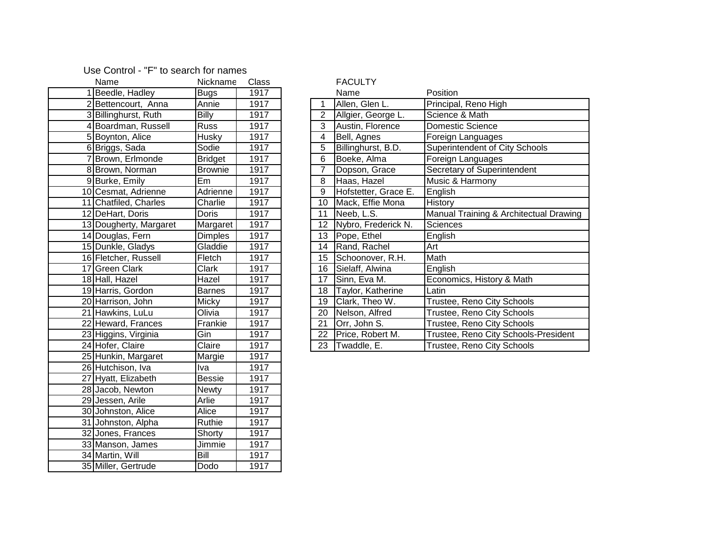## Use Control - "F" to search for names

| Name                   | Nickname       | Class |                | <b>FACULTY</b>       |                      |
|------------------------|----------------|-------|----------------|----------------------|----------------------|
| 1 Beedle, Hadley       | <b>Bugs</b>    | 1917  |                | Name                 | Position             |
| 2 Bettencourt, Anna    | Annie          | 1917  | 1              | Allen, Glen L.       | Principal, Reno High |
| 3 Billinghurst, Ruth   | <b>Billy</b>   | 1917  | $\overline{2}$ | Allgier, George L.   | Science & Math       |
| 4 Boardman, Russell    | Russ           | 1917  | 3              | Austin, Florence     | Domestic Science     |
| 5 Boynton, Alice       | Husky          | 1917  | 4              | Bell, Agnes          | Foreign Languages    |
| 6 Briggs, Sada         | Sodie          | 1917  | 5              | Billinghurst, B.D.   | Superintendent of Ci |
| Brown, Erlmonde        | <b>Bridget</b> | 1917  | 6              | Boeke, Alma          | Foreign Languages    |
| 8 Brown, Norman        | <b>Brownie</b> | 1917  | $\overline{7}$ | Dopson, Grace        | Secretary of Superin |
| 9 Burke, Emily         | Em             | 1917  | 8              | Haas, Hazel          | Music & Harmony      |
| 10 Cesmat, Adrienne    | Adrienne       | 1917  | 9              | Hofstetter, Grace E. | English              |
| 11 Chatfiled, Charles  | Charlie        | 1917  | 10             | Mack, Effie Mona     | History              |
| 12 DeHart, Doris       | Doris          | 1917  | 11             | Neeb, L.S.           | Manual Training & A  |
| 13 Dougherty, Margaret | Margaret       | 1917  | 12             | Nybro, Frederick N.  | Sciences             |
| 14 Douglas, Fern       | <b>Dimples</b> | 1917  | 13             | Pope, Ethel          | English              |
| 15 Dunkle, Gladys      | Gladdie        | 1917  | 14             | Rand, Rachel         | Art                  |
| 16 Fletcher, Russell   | Fletch         | 1917  | 15             | Schoonover, R.H.     | Math                 |
| 17 Green Clark         | Clark          | 1917  | 16             | Sielaff, Alwina      | English              |
| 18 Hall, Hazel         | Hazel          | 1917  | 17             | Sinn, Eva M.         | Economics, History & |
| 19 Harris, Gordon      | <b>Barnes</b>  | 1917  | 18             | Taylor, Katherine    | Latin                |
| 20 Harrison, John      | Micky          | 1917  | 19             | Clark, Theo W.       | Trustee, Reno City S |
| 21 Hawkins, LuLu       | Olivia         | 1917  | 20             | Nelson, Alfred       | Trustee, Reno City S |
| 22 Heward, Frances     | Frankie        | 1917  | 21             | Orr, John S.         | Trustee, Reno City S |
| 23 Higgins, Virginia   | Gin            | 1917  | 22             | Price, Robert M.     | Trustee, Reno City S |
| 24 Hofer, Claire       | Claire         | 1917  | 23             | Twaddle, E.          | Trustee, Reno City S |
| 25 Hunkin, Margaret    | Margie         | 1917  |                |                      |                      |
| 26 Hutchison, Iva      | Iva            | 1917  |                |                      |                      |
| 27 Hyatt, Elizabeth    | <b>Bessie</b>  | 1917  |                |                      |                      |
| 28 Jacob, Newton       | <b>Newty</b>   | 1917  |                |                      |                      |
| 29 Jessen, Arile       | Arlie          | 1917  |                |                      |                      |
| 30 Johnston, Alice     | Alice          | 1917  |                |                      |                      |
| 31 Johnston, Alpha     | Ruthie         | 1917  |                |                      |                      |
| 32 Jones, Frances      | Shorty         | 1917  |                |                      |                      |
| 33 Manson, James       | Jimmie         | 1917  |                |                      |                      |
| 34 Martin, Will        | Bill           | 1917  |                |                      |                      |
| 35 Miller, Gertrude    | Dodo           | 1917  |                |                      |                      |

## FACULTY

| 1 Beedle, Hadley       | Bugs           | 1917 |    | Name                 | Position                               |
|------------------------|----------------|------|----|----------------------|----------------------------------------|
| 2 Bettencourt, Anna    | Annie          | 1917 |    | Allen, Glen L.       | Principal, Reno High                   |
| 3 Billinghurst, Ruth   | <b>Billy</b>   | 1917 | 2  | Allgier, George L.   | Science & Math                         |
| 4 Boardman, Russell    | <b>Russ</b>    | 1917 | 3  | Austin, Florence     | Domestic Science                       |
| 5 Boynton, Alice       | Husky          | 1917 | 4  | Bell, Agnes          | Foreign Languages                      |
| 6 Briggs, Sada         | Sodie          | 1917 | 5  | Billinghurst, B.D.   | Superintendent of City Schools         |
| 7 Brown, Erlmonde      | <b>Bridget</b> | 1917 | 6  | Boeke, Alma          | Foreign Languages                      |
| 8 Brown, Norman        | <b>Brownie</b> | 1917 | 7  | Dopson, Grace        | Secretary of Superintendent            |
| 9 Burke, Emily         | Em             | 1917 | 8  | Haas, Hazel          | Music & Harmony                        |
| 10 Cesmat, Adrienne    | Adrienne       | 1917 | 9  | Hofstetter, Grace E. | English                                |
| 11 Chatfiled, Charles  | Charlie        | 1917 | 10 | Mack, Effie Mona     | History                                |
| 12 DeHart, Doris       | Doris          | 1917 | 11 | Neeb, L.S.           | Manual Training & Architectual Drawing |
| 13 Dougherty, Margaret | Margaret       | 1917 | 12 | Nybro, Frederick N.  | <b>Sciences</b>                        |
| 14 Douglas, Fern       | <b>Dimples</b> | 1917 | 13 | Pope, Ethel          | English                                |
| 15 Dunkle, Gladys      | Gladdie        | 1917 | 14 | Rand, Rachel         | Art                                    |
| 16 Fletcher, Russell   | Fletch         | 1917 | 15 | Schoonover, R.H.     | Math                                   |
| 17 Green Clark         | Clark          | 1917 | 16 | Sielaff, Alwina      | English                                |
| 18 Hall, Hazel         | Hazel          | 1917 | 17 | Sinn, Eva M.         | Economics, History & Math              |
| 19 Harris, Gordon      | <b>Barnes</b>  | 1917 | 18 | Taylor, Katherine    | Latin                                  |
| 20 Harrison, John      | <b>Micky</b>   | 1917 | 19 | Clark, Theo W.       | Trustee, Reno City Schools             |
| 21 Hawkins, LuLu       | Olivia         | 1917 | 20 | Nelson, Alfred       | Trustee, Reno City Schools             |
| 22 Heward, Frances     | Frankie        | 1917 | 21 | Orr, John S.         | Trustee, Reno City Schools             |
| 23 Higgins, Virginia   | Gin            | 1917 | 22 | Price, Robert M.     | Trustee, Reno City Schools-President   |
| 24 Hofer, Claire       | Claire         | 1917 | 23 | Twaddle, E.          | Trustee, Reno City Schools             |